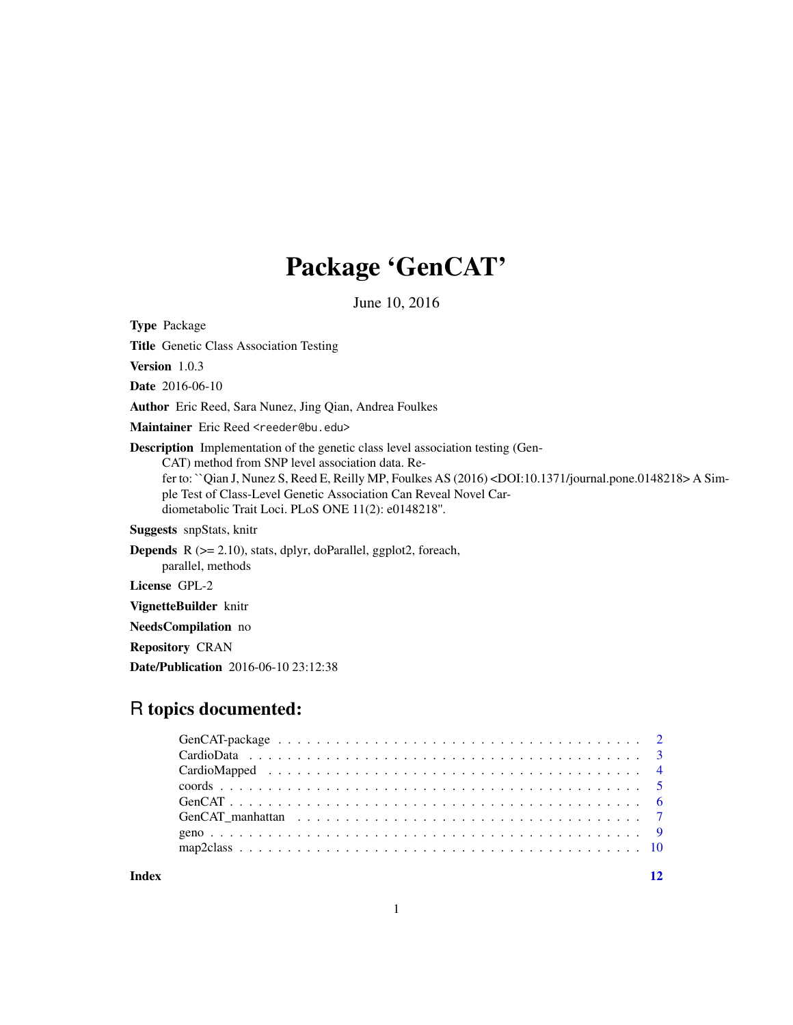## Package 'GenCAT'

June 10, 2016

<span id="page-0-0"></span>Type Package

Title Genetic Class Association Testing

Version 1.0.3

Date 2016-06-10

Author Eric Reed, Sara Nunez, Jing Qian, Andrea Foulkes

Maintainer Eric Reed <reeder@bu.edu>

Description Implementation of the genetic class level association testing (Gen-CAT) method from SNP level association data. Refer to: ``Qian J, Nunez S, Reed E, Reilly MP, Foulkes AS (2016) <DOI:10.1371/journal.pone.0148218> A Simple Test of Class-Level Genetic Association Can Reveal Novel Cardiometabolic Trait Loci. PLoS ONE 11(2): e0148218''.

Suggests snpStats, knitr

Depends R (>= 2.10), stats, dplyr, doParallel, ggplot2, foreach, parallel, methods

License GPL-2

VignetteBuilder knitr

NeedsCompilation no

Repository CRAN

Date/Publication 2016-06-10 23:12:38

## R topics documented:

**Index** [12](#page-11-0)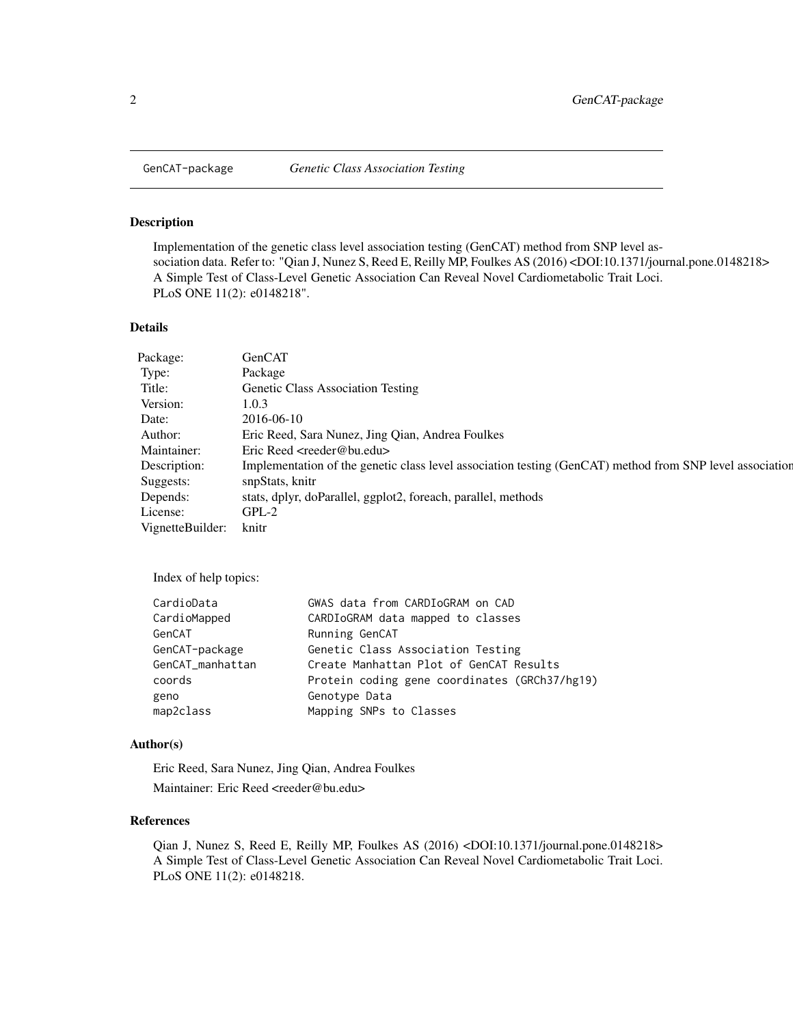<span id="page-1-0"></span>

#### Description

Implementation of the genetic class level association testing (GenCAT) method from SNP level association data. Refer to: "Qian J, Nunez S, Reed E, Reilly MP, Foulkes AS (2016) <DOI:10.1371/journal.pone.0148218> A Simple Test of Class-Level Genetic Association Can Reveal Novel Cardiometabolic Trait Loci. PLoS ONE 11(2): e0148218".

#### Details

| Package:               | GenCAT                                                                                                   |
|------------------------|----------------------------------------------------------------------------------------------------------|
| Type:                  | Package                                                                                                  |
| Title:                 | <b>Genetic Class Association Testing</b>                                                                 |
| Version:               | 1.0.3                                                                                                    |
| Date:                  | 2016-06-10                                                                                               |
| Author:                | Eric Reed, Sara Nunez, Jing Qian, Andrea Foulkes                                                         |
| Maintainer:            | Eric Reed <reeder@bu.edu></reeder@bu.edu>                                                                |
| Description:           | Implementation of the genetic class level association testing (GenCAT) method from SNP level association |
| Suggests:              | snpStats, knitr                                                                                          |
| Depends:               | stats, dplyr, doParallel, ggplot2, foreach, parallel, methods                                            |
| License:               | $GPL-2$                                                                                                  |
| VignetteBuilder: knitr |                                                                                                          |

Index of help topics:

| CardioData       | GWAS data from CARDIoGRAM on CAD              |
|------------------|-----------------------------------------------|
| CardioMapped     | CARDIoGRAM data mapped to classes             |
| GenCAT           | Running GenCAT                                |
| GenCAT-package   | Genetic Class Association Testing             |
| GenCAT_manhattan | Create Manhattan Plot of GenCAT Results       |
| coords           | Protein coding gene coordinates (GRCh37/hg19) |
| geno             | Genotype Data                                 |
| map2class        | Mapping SNPs to Classes                       |
|                  |                                               |

#### Author(s)

Eric Reed, Sara Nunez, Jing Qian, Andrea Foulkes Maintainer: Eric Reed <reeder@bu.edu>

#### References

Qian J, Nunez S, Reed E, Reilly MP, Foulkes AS (2016) <DOI:10.1371/journal.pone.0148218> A Simple Test of Class-Level Genetic Association Can Reveal Novel Cardiometabolic Trait Loci. PLoS ONE 11(2): e0148218.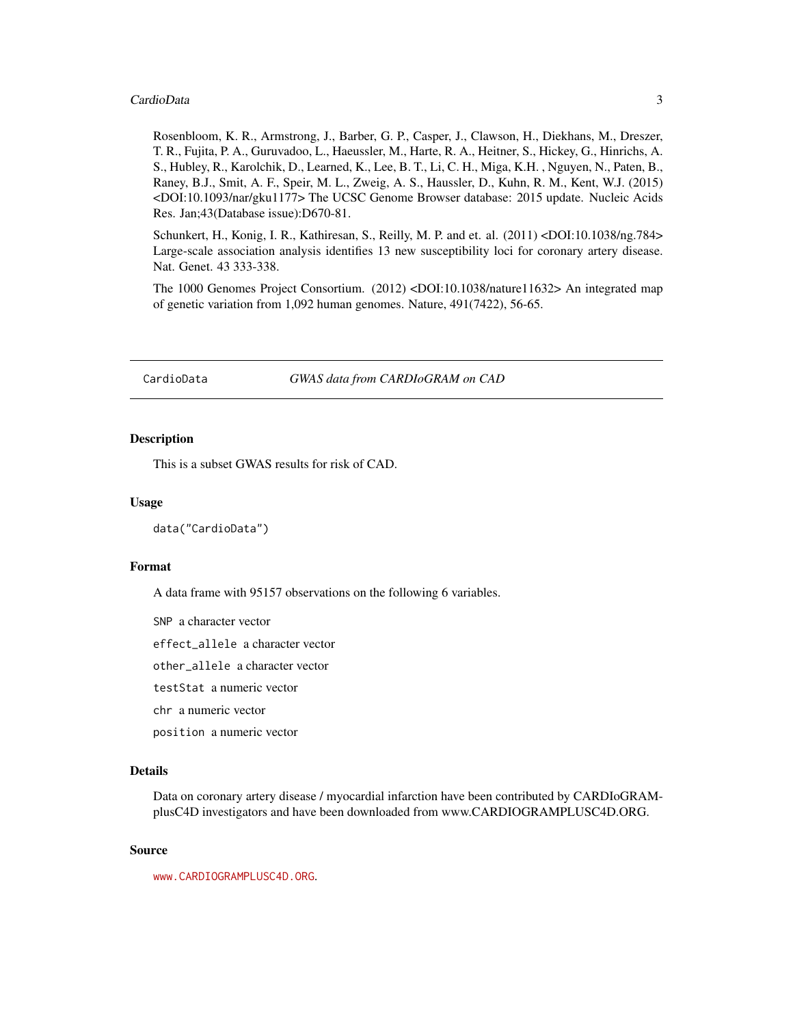#### <span id="page-2-0"></span>CardioData 3

Rosenbloom, K. R., Armstrong, J., Barber, G. P., Casper, J., Clawson, H., Diekhans, M., Dreszer, T. R., Fujita, P. A., Guruvadoo, L., Haeussler, M., Harte, R. A., Heitner, S., Hickey, G., Hinrichs, A. S., Hubley, R., Karolchik, D., Learned, K., Lee, B. T., Li, C. H., Miga, K.H. , Nguyen, N., Paten, B., Raney, B.J., Smit, A. F., Speir, M. L., Zweig, A. S., Haussler, D., Kuhn, R. M., Kent, W.J. (2015) <DOI:10.1093/nar/gku1177> The UCSC Genome Browser database: 2015 update. Nucleic Acids Res. Jan;43(Database issue):D670-81.

Schunkert, H., Konig, I. R., Kathiresan, S., Reilly, M. P. and et. al. (2011) <DOI:10.1038/ng.784> Large-scale association analysis identifies 13 new susceptibility loci for coronary artery disease. Nat. Genet. 43 333-338.

The 1000 Genomes Project Consortium. (2012) <DOI:10.1038/nature11632> An integrated map of genetic variation from 1,092 human genomes. Nature, 491(7422), 56-65.

CardioData *GWAS data from CARDIoGRAM on CAD*

#### Description

This is a subset GWAS results for risk of CAD.

#### Usage

data("CardioData")

#### Format

A data frame with 95157 observations on the following 6 variables.

SNP a character vector

effect\_allele a character vector

other\_allele a character vector

testStat a numeric vector

chr a numeric vector

position a numeric vector

#### Details

Data on coronary artery disease / myocardial infarction have been contributed by CARDIoGRAMplusC4D investigators and have been downloaded from www.CARDIOGRAMPLUSC4D.ORG.

#### Source

<www.CARDIOGRAMPLUSC4D.ORG>.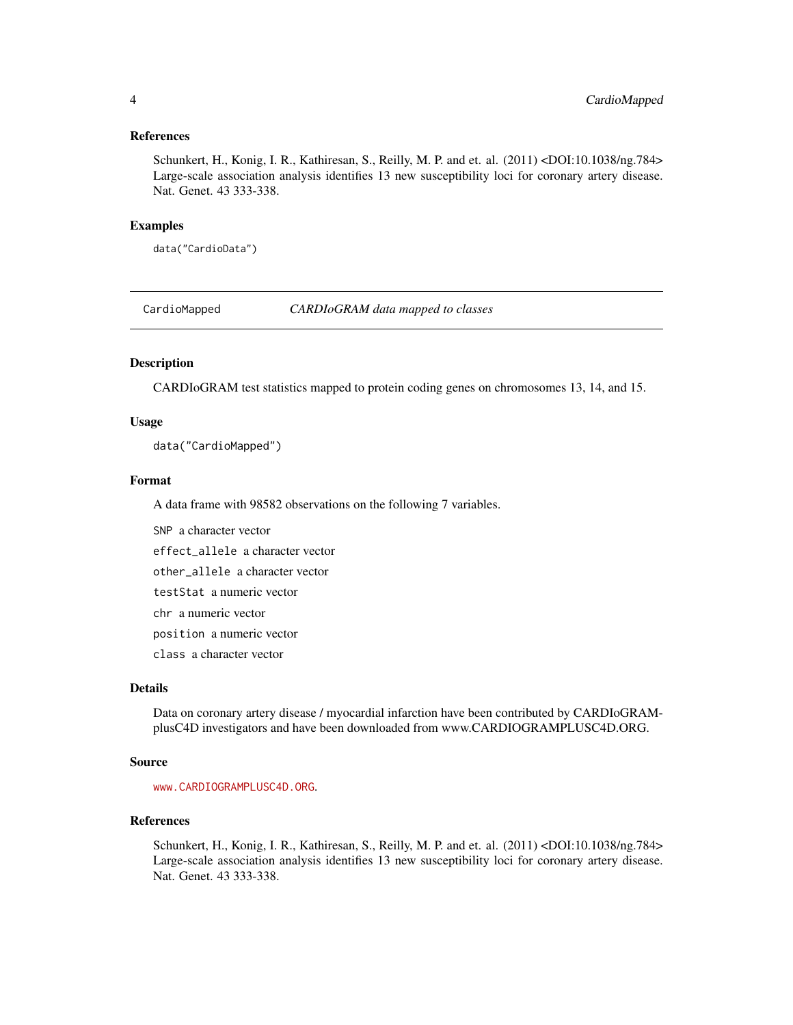#### <span id="page-3-0"></span>References

Schunkert, H., Konig, I. R., Kathiresan, S., Reilly, M. P. and et. al. (2011) <DOI:10.1038/ng.784> Large-scale association analysis identifies 13 new susceptibility loci for coronary artery disease. Nat. Genet. 43 333-338.

#### Examples

data("CardioData")

CardioMapped *CARDIoGRAM data mapped to classes*

## Description

CARDIoGRAM test statistics mapped to protein coding genes on chromosomes 13, 14, and 15.

## Usage

data("CardioMapped")

#### Format

A data frame with 98582 observations on the following 7 variables.

SNP a character vector effect\_allele a character vector other\_allele a character vector

testStat a numeric vector

chr a numeric vector

position a numeric vector

class a character vector

#### Details

Data on coronary artery disease / myocardial infarction have been contributed by CARDIoGRAMplusC4D investigators and have been downloaded from www.CARDIOGRAMPLUSC4D.ORG.

#### Source

<www.CARDIOGRAMPLUSC4D.ORG>.

#### References

Schunkert, H., Konig, I. R., Kathiresan, S., Reilly, M. P. and et. al. (2011) <DOI:10.1038/ng.784> Large-scale association analysis identifies 13 new susceptibility loci for coronary artery disease. Nat. Genet. 43 333-338.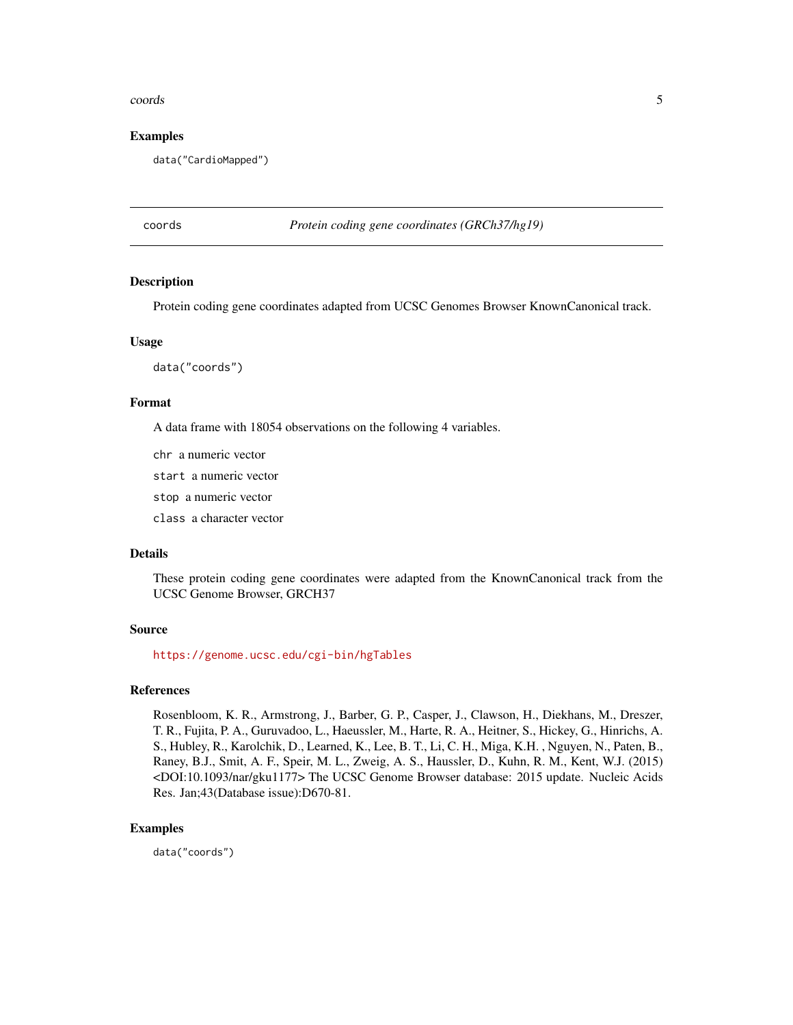#### <span id="page-4-0"></span>coords 5

#### Examples

data("CardioMapped")

coords *Protein coding gene coordinates (GRCh37/hg19)*

#### Description

Protein coding gene coordinates adapted from UCSC Genomes Browser KnownCanonical track.

#### Usage

data("coords")

#### Format

A data frame with 18054 observations on the following 4 variables.

chr a numeric vector

start a numeric vector

stop a numeric vector

class a character vector

#### Details

These protein coding gene coordinates were adapted from the KnownCanonical track from the UCSC Genome Browser, GRCH37

#### Source

<https://genome.ucsc.edu/cgi-bin/hgTables>

## References

Rosenbloom, K. R., Armstrong, J., Barber, G. P., Casper, J., Clawson, H., Diekhans, M., Dreszer, T. R., Fujita, P. A., Guruvadoo, L., Haeussler, M., Harte, R. A., Heitner, S., Hickey, G., Hinrichs, A. S., Hubley, R., Karolchik, D., Learned, K., Lee, B. T., Li, C. H., Miga, K.H. , Nguyen, N., Paten, B., Raney, B.J., Smit, A. F., Speir, M. L., Zweig, A. S., Haussler, D., Kuhn, R. M., Kent, W.J. (2015) <DOI:10.1093/nar/gku1177> The UCSC Genome Browser database: 2015 update. Nucleic Acids Res. Jan;43(Database issue):D670-81.

#### Examples

data("coords")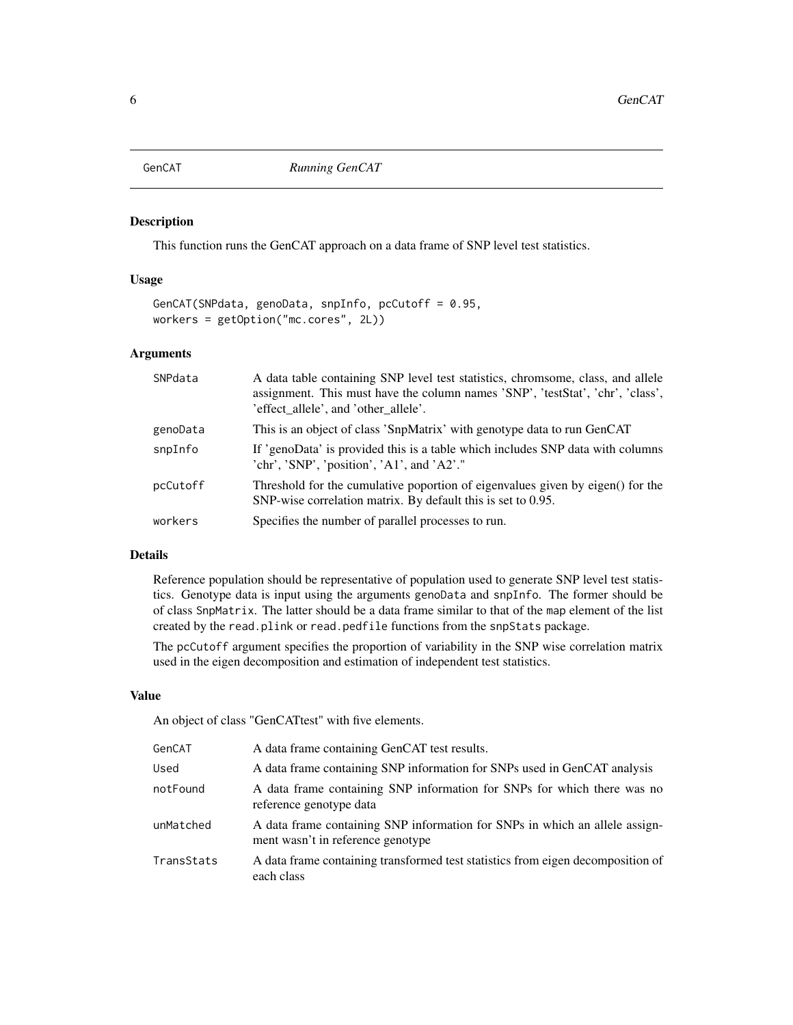<span id="page-5-0"></span>

## Description

This function runs the GenCAT approach on a data frame of SNP level test statistics.

#### Usage

```
GenCAT(SNPdata, genoData, snpInfo, pcCutoff = 0.95,
workers = getOption("mc.cores", 2L))
```
#### Arguments

| SNPdata  | A data table containing SNP level test statistics, chromsome, class, and allele<br>assignment. This must have the column names 'SNP', 'testStat', 'chr', 'class',<br>'effect allele', and 'other allele'. |
|----------|-----------------------------------------------------------------------------------------------------------------------------------------------------------------------------------------------------------|
| genoData | This is an object of class 'SnpMatrix' with genotype data to run GenCAT                                                                                                                                   |
| snpInfo  | If 'genoData' is provided this is a table which includes SNP data with columns<br>'chr', 'SNP', 'position', 'A1', and 'A2'."                                                                              |
| pcCutoff | Threshold for the cumulative poportion of eigenvalues given by eigen() for the<br>SNP-wise correlation matrix. By default this is set to 0.95.                                                            |
| workers  | Specifies the number of parallel processes to run.                                                                                                                                                        |

## Details

Reference population should be representative of population used to generate SNP level test statistics. Genotype data is input using the arguments genoData and snpInfo. The former should be of class SnpMatrix. The latter should be a data frame similar to that of the map element of the list created by the read.plink or read.pedfile functions from the snpStats package.

The pcCutoff argument specifies the proportion of variability in the SNP wise correlation matrix used in the eigen decomposition and estimation of independent test statistics.

#### Value

An object of class "GenCATtest" with five elements.

| GenCAT     | A data frame containing GenCAT test results.                                                                     |
|------------|------------------------------------------------------------------------------------------------------------------|
| Used       | A data frame containing SNP information for SNPs used in GenCAT analysis                                         |
| notFound   | A data frame containing SNP information for SNPs for which there was no<br>reference genotype data               |
| unMatched  | A data frame containing SNP information for SNPs in which an allele assign-<br>ment wasn't in reference genotype |
| TransStats | A data frame containing transformed test statistics from eigen decomposition of<br>each class                    |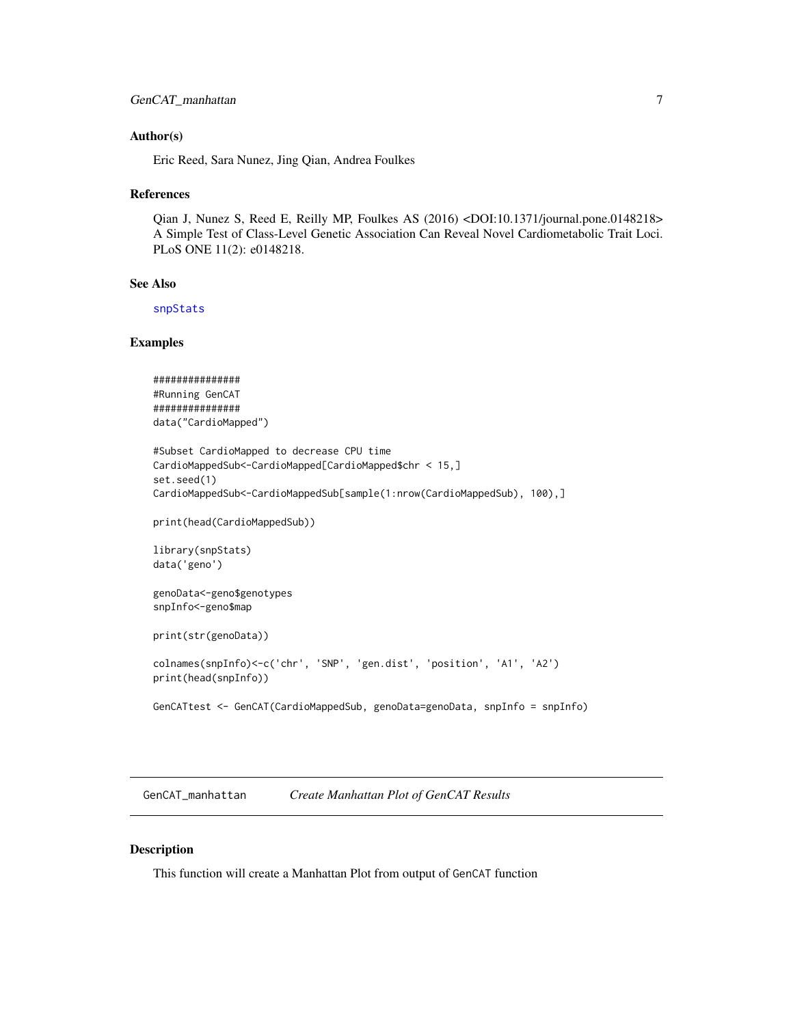#### <span id="page-6-0"></span>Author(s)

Eric Reed, Sara Nunez, Jing Qian, Andrea Foulkes

#### References

Qian J, Nunez S, Reed E, Reilly MP, Foulkes AS (2016) <DOI:10.1371/journal.pone.0148218> A Simple Test of Class-Level Genetic Association Can Reveal Novel Cardiometabolic Trait Loci. PLoS ONE 11(2): e0148218.

## See Also

[snpStats](#page-0-0)

#### Examples

```
###############
#Running GenCAT
###############
data("CardioMapped")
#Subset CardioMapped to decrease CPU time
CardioMappedSub<-CardioMapped[CardioMapped$chr < 15,]
set.seed(1)
CardioMappedSub<-CardioMappedSub[sample(1:nrow(CardioMappedSub), 100),]
print(head(CardioMappedSub))
library(snpStats)
data('geno')
genoData<-geno$genotypes
snpInfo<-geno$map
print(str(genoData))
colnames(snpInfo)<-c('chr', 'SNP', 'gen.dist', 'position', 'A1', 'A2')
print(head(snpInfo))
GenCATtest <- GenCAT(CardioMappedSub, genoData=genoData, snpInfo = snpInfo)
```
GenCAT\_manhattan *Create Manhattan Plot of GenCAT Results*

#### Description

This function will create a Manhattan Plot from output of GenCAT function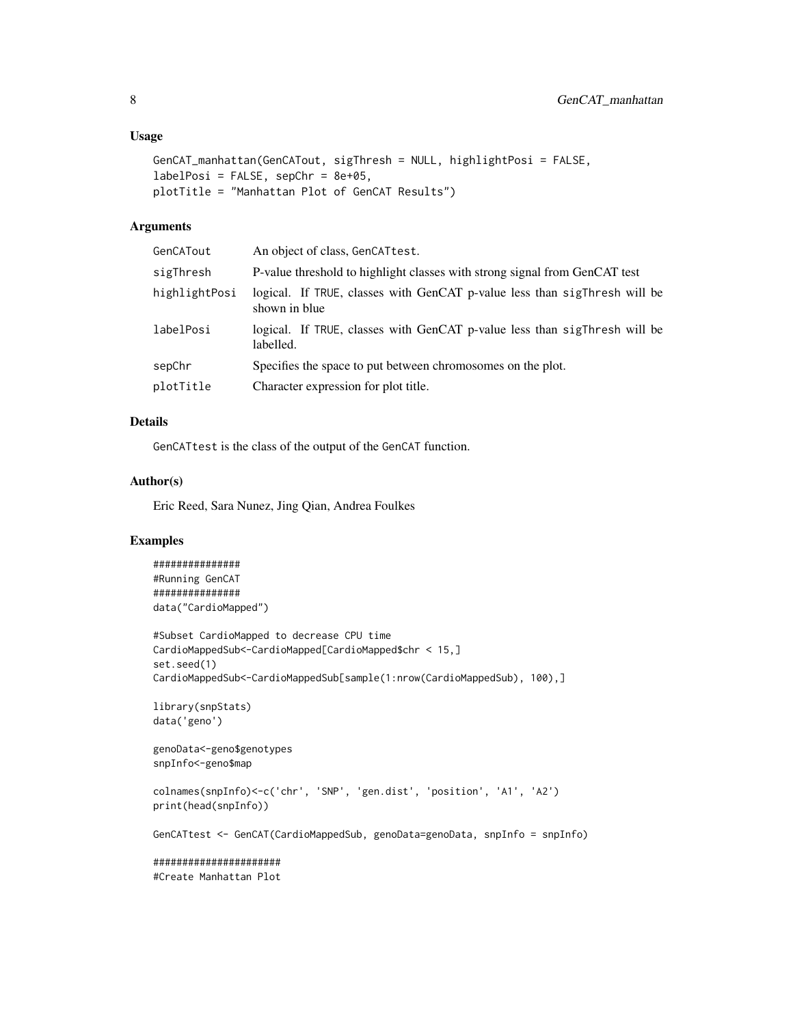#### Usage

```
GenCAT_manhattan(GenCATout, sigThresh = NULL, highlightPosi = FALSE,
labelPosi = FALSE, sepChr = 8e+05,plotTitle = "Manhattan Plot of GenCAT Results")
```
## Arguments

| GenCATout     | An object of class, GenCATtest.                                                            |
|---------------|--------------------------------------------------------------------------------------------|
| sigThresh     | P-value threshold to highlight classes with strong signal from GenCAT test                 |
| highlightPosi | logical. If TRUE, classes with GenCAT p-value less than sigThresh will be<br>shown in blue |
| labelPosi     | logical. If TRUE, classes with GenCAT p-value less than sigThresh will be<br>labelled.     |
| sepChr        | Specifies the space to put between chromosomes on the plot.                                |
| plotTitle     | Character expression for plot title.                                                       |

## Details

GenCATtest is the class of the output of the GenCAT function.

#### Author(s)

Eric Reed, Sara Nunez, Jing Qian, Andrea Foulkes

## Examples

```
###############
#Running GenCAT
###############
data("CardioMapped")
```

```
#Subset CardioMapped to decrease CPU time
CardioMappedSub<-CardioMapped[CardioMapped$chr < 15,]
set.seed(1)
CardioMappedSub<-CardioMappedSub[sample(1:nrow(CardioMappedSub), 100),]
```

```
library(snpStats)
data('geno')
```

```
genoData<-geno$genotypes
snpInfo<-geno$map
```
colnames(snpInfo)<-c('chr', 'SNP', 'gen.dist', 'position', 'A1', 'A2') print(head(snpInfo))

GenCATtest <- GenCAT(CardioMappedSub, genoData=genoData, snpInfo = snpInfo)

###################### #Create Manhattan Plot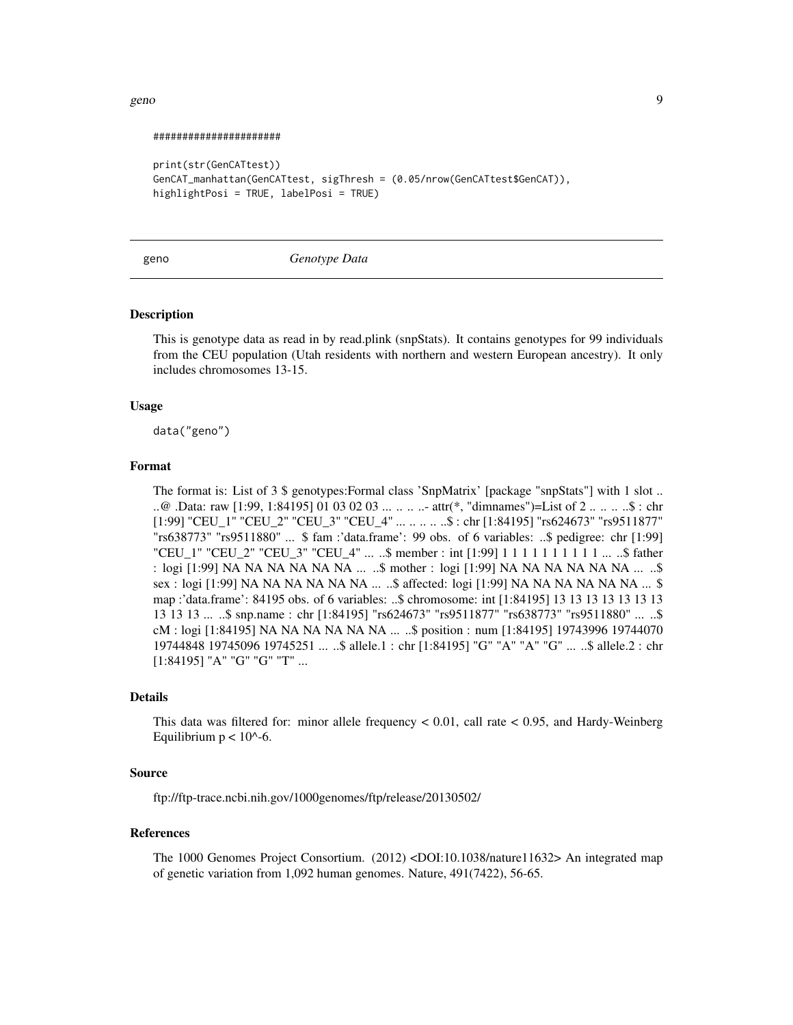#### <span id="page-8-0"></span>geno de la segunda de la segunda de la segunda de la segunda de la segunda de la segunda de la segunda de la s

#### ######################

```
print(str(GenCATtest))
GenCAT_manhattan(GenCATtest, sigThresh = (0.05/nrow(GenCATtest$GenCAT)),
highlightPosi = TRUE, labelPosi = TRUE)
```
#### geno *Genotype Data*

#### **Description**

This is genotype data as read in by read.plink (snpStats). It contains genotypes for 99 individuals from the CEU population (Utah residents with northern and western European ancestry). It only includes chromosomes 13-15.

#### Usage

data("geno")

#### Format

The format is: List of 3 \$ genotypes: Formal class 'SnpMatrix' [package "snpStats"] with 1 slot .. ..@ .Data: raw [1:99, 1:84195] 01 03 02 03 ... .. .. ..- attr(\*, "dimnames")=List of 2 .. .. .. ..\$ : chr [1:99] "CEU\_1" "CEU\_2" "CEU\_3" "CEU\_4" ... .. .. .. ..\$ : chr [1:84195] "rs624673" "rs9511877" "rs638773" "rs9511880" ... \$ fam :'data.frame': 99 obs. of 6 variables: ..\$ pedigree: chr [1:99] "CEU\_1" "CEU\_2" "CEU\_3" "CEU\_4" ... ..\$ member : int [1:99] 1 1 1 1 1 1 1 1 1 1 ... ..\$ father : logi [1:99] NA NA NA NA NA NA ... ..\$ mother : logi [1:99] NA NA NA NA NA NA ... ..\$ sex : logi [1:99] NA NA NA NA NA NA ... ..\$ affected: logi [1:99] NA NA NA NA NA NA ... \$ map :'data.frame': 84195 obs. of 6 variables: ..\$ chromosome: int [1:84195] 13 13 13 13 13 13 13 13 13 13 ... ..\$ snp.name : chr [1:84195] "rs624673" "rs9511877" "rs638773" "rs9511880" ... ..\$ cM : logi [1:84195] NA NA NA NA NA NA ... ..\$ position : num [1:84195] 19743996 19744070 19744848 19745096 19745251 ... ..\$ allele.1 : chr [1:84195] "G" "A" "A" "G" ... ..\$ allele.2 : chr [1:84195] "A" "G" "G" "T" ...

#### Details

This data was filtered for: minor allele frequency < 0.01, call rate < 0.95, and Hardy-Weinberg Equilibrium  $p < 10^{\circ}$ -6.

#### Source

ftp://ftp-trace.ncbi.nih.gov/1000genomes/ftp/release/20130502/

#### References

The 1000 Genomes Project Consortium. (2012) <DOI:10.1038/nature11632> An integrated map of genetic variation from 1,092 human genomes. Nature, 491(7422), 56-65.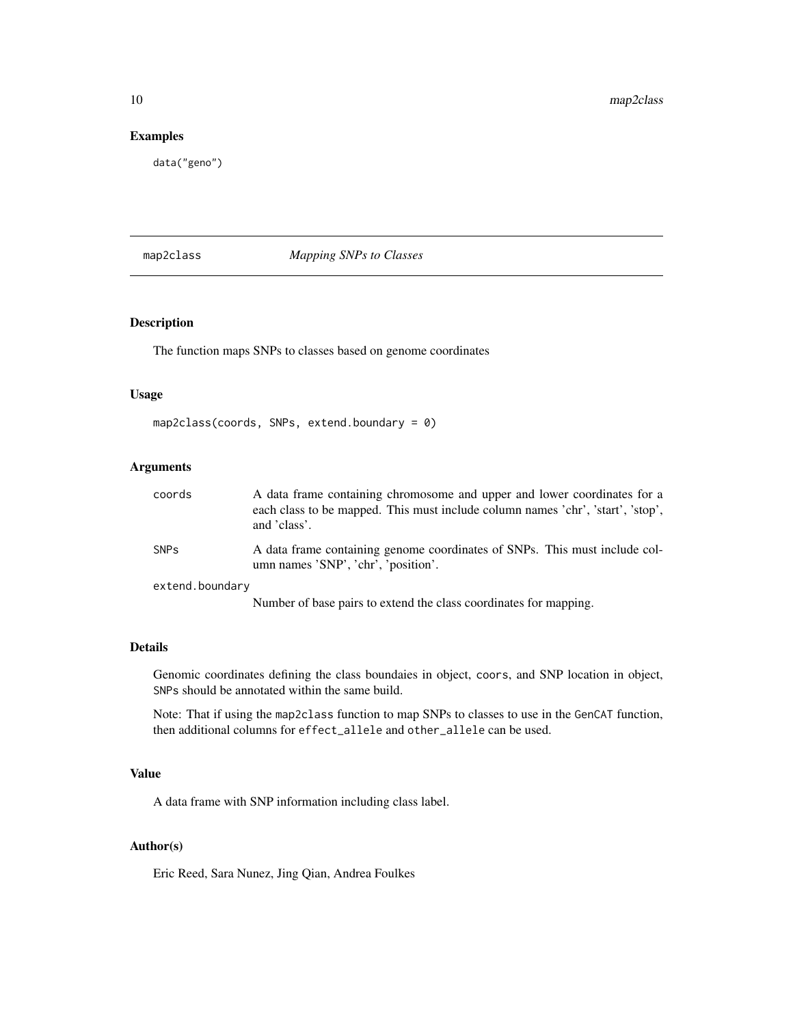#### Examples

data("geno")

## map2class *Mapping SNPs to Classes*

## Description

The function maps SNPs to classes based on genome coordinates

#### Usage

```
map2class(coords, SNPs, extend.boundary = 0)
```
## Arguments

| coords          | A data frame containing chromosome and upper and lower coordinates for a<br>each class to be mapped. This must include column names 'chr', 'start', 'stop',<br>and 'class'. |
|-----------------|-----------------------------------------------------------------------------------------------------------------------------------------------------------------------------|
| <b>SNPs</b>     | A data frame containing genome coordinates of SNPs. This must include col-<br>umn names 'SNP', 'chr', 'position'.                                                           |
| extend.boundary |                                                                                                                                                                             |

Number of base pairs to extend the class coordinates for mapping.

#### Details

Genomic coordinates defining the class boundaies in object, coors, and SNP location in object, SNPs should be annotated within the same build.

Note: That if using the map2class function to map SNPs to classes to use in the GenCAT function, then additional columns for effect\_allele and other\_allele can be used.

#### Value

A data frame with SNP information including class label.

#### Author(s)

Eric Reed, Sara Nunez, Jing Qian, Andrea Foulkes

<span id="page-9-0"></span>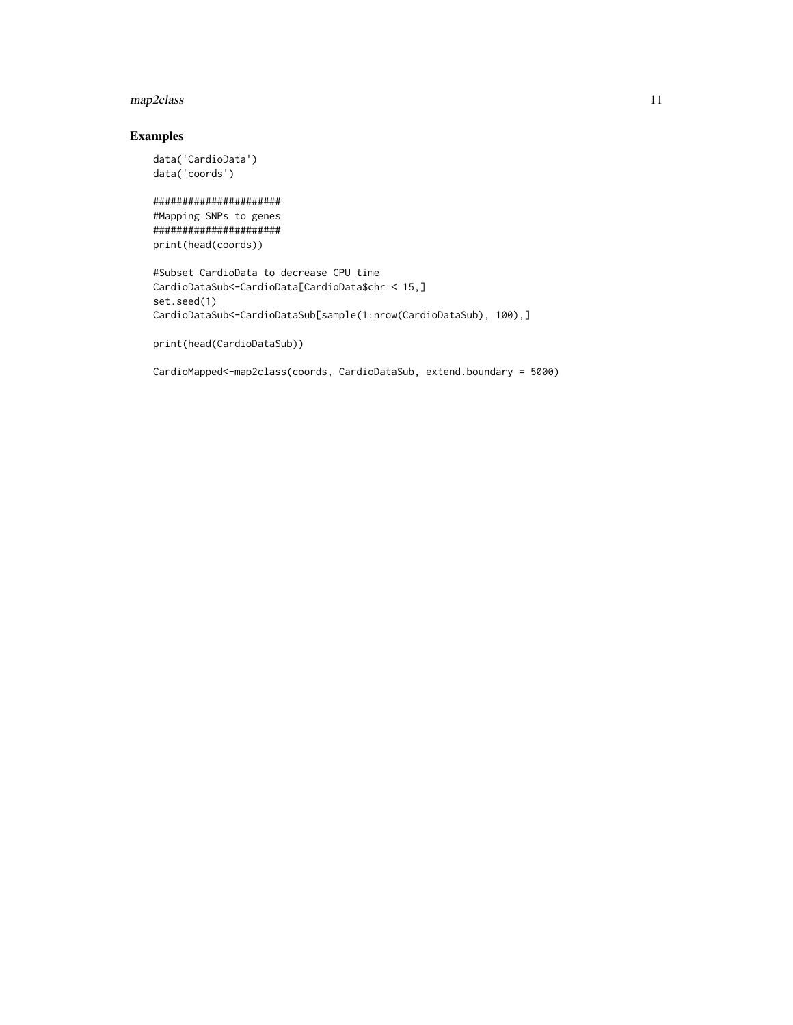## map2class 11

## Examples

```
data('CardioData')
data('coords')
```

```
######################
#Mapping SNPs to genes
######################
print(head(coords))
```

```
#Subset CardioData to decrease CPU time
CardioDataSub<-CardioData[CardioData$chr < 15,]
set.seed(1)
CardioDataSub<-CardioDataSub[sample(1:nrow(CardioDataSub), 100),]
```

```
print(head(CardioDataSub))
```
CardioMapped<-map2class(coords, CardioDataSub, extend.boundary = 5000)